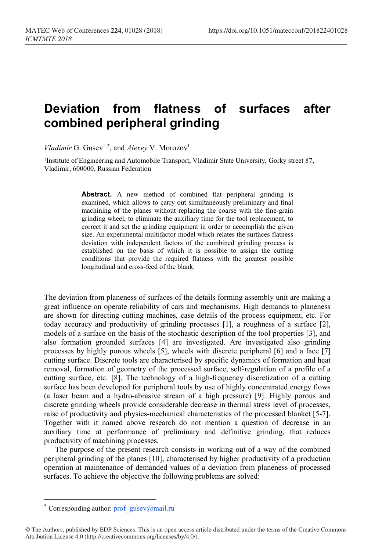## **Deviation from flatness of surfaces after combined peripheral grinding**

*Vladimir* G. Gusev<sup>1,[\\*](#page-0-0)</sup>, and *Alexey* V. Morozov<sup>1</sup>

<sup>1</sup>Institute of Engineering and Automobile Transport, Vladimir State University, Gorky street 87, Vladimir, 600000, Russian Federation

> **Abstract.** A new method of combined flat peripheral grinding is examined, which allows to carry out simultaneously preliminary and final machining of the planes without replacing the coarse with the fine-grain grinding wheel, to eliminate the auxiliary time for the tool replacement, to correct it and set the grinding equipment in order to accomplish the given size. An experimental multifactor model which relates the surfaces flatness deviation with independent factors of the combined grinding process is established on the basis of which it is possible to assign the cutting conditions that provide the required flatness with the greatest possible longitudinal and cross-feed of the blank.

The deviation from planeness of surfaces of the details forming assembly unit are making a great influence on operate reliability of cars and mechanisms. High demands to planeness are shown for directing cutting machines, case details of the process equipment, etc. For today accuracy and productivity of grinding processes [1], a roughness of a surface [2], models of a surface on the basis of the stochastic description of the tool properties [3], and also formation grounded surfaces [4] are investigated. Are investigated also grinding processes by highly porous wheels [5], wheels with discrete peripheral [6] and a face [7] cutting surface. Discrete tools are characterised by specific dynamics of formation and heat removal, formation of geometry of the processed surface, self-regulation of a profile of a cutting surface, etc. [8]. The technology of a high-frequency discretization of a cutting surface has been developed for peripheral tools by use of highly concentrated energy flows (a laser beam and a hydro-abrasive stream of a high pressure) [9]. Highly porous and discrete grinding wheels provide considerable decrease in thermal stress level of processes, raise of productivity and physics-mechanical characteristics of the processed blanket [5-7]. Together with it named above research do not mention a question of decrease in an auxiliary time at performance of preliminary and definitive grinding, that reduces productivity of machining processes.

The purpose of the present research consists in working out of a way of the combined peripheral grinding of the planes [10], characterised by higher productivity of a production operation at maintenance of demanded values of a deviation from planeness of processed surfaces. To achieve the objective the following problems are solved:

 $\overline{a}$ 

Corresponding author: [prof\\_gusev@mail.ru](mailto:prof_gusev@mail.ru)

<span id="page-0-0"></span><sup>©</sup> The Authors, published by EDP Sciences. This is an open access article distributed under the terms of the Creative Commons Attribution License 4.0 (http://creativecommons.org/licenses/by/4.0/).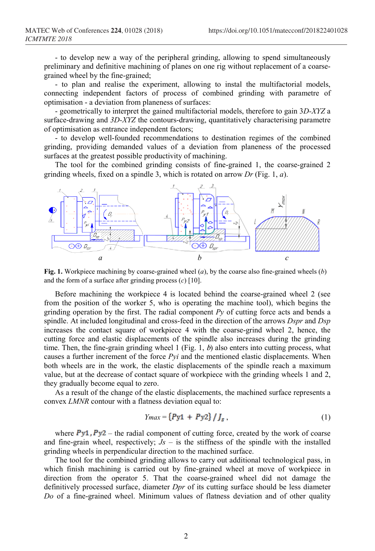- to develop new a way of the peripheral grinding, allowing to spend simultaneously preliminary and definitive machining of planes on one rig without replacement of a coarsegrained wheel by the fine-grained;

- to plan and realise the experiment, allowing to instal the multifactorial models, connecting independent factors of process of combined grinding with parametre of optimisation - a deviation from planeness of surfaces:

- geometrically to interpret the gained multifactorial models, therefore to gain 3*D-XYZ* a surface-drawing and *3D-XYZ* the contours-drawing, quantitatively characterising parametre of optimisation as entrance independent factors;

- to develop well-founded recommendations to destination regimes of the combined grinding, providing demanded values of a deviation from planeness of the processed surfaces at the greatest possible productivity of machining.

The tool for the combined grinding consists of fine-grained 1, the coarse-grained 2 grinding wheels, fixed on a spindle 3, which is rotated on arrow *Dr* (Fig. 1, *a*).



**Fig. 1.** Workpiece machining by coarse-grained wheel (*a*), by the coarse also fine-grained wheels (*b*) and the form of a surface after grinding process (*c*) [10].

Before machining the workpiece 4 is located behind the coarse-grained wheel 2 (see from the position of the worker 5, who is operating the machine tool), which begins the grinding operation by the first. The radial component *Py* of cutting force acts and bends a spindle. At included longitudinal and cross-feed in the direction of the arrows *Dspr* and *Dsp* increases the contact square of workpiece 4 with the coarse-grind wheel 2, hence, the cutting force and elastic displacements of the spindle also increases during the grinding time. Then, the fine-grain grinding wheel  $1$  (Fig. 1,  $b$ ) also enters into cutting process, what causes a further increment of the force *Pyi* and the mentioned elastic displacements. When both wheels are in the work, the elastic displacements of the spindle reach a maximum value, but at the decrease of contact square of workpiece with the grinding wheels 1 and 2, they gradually become equal to zero.

As a result of the change of the elastic displacements, the machined surface represents a convex *LMNR* contour with a flatness deviation equal to:

$$
Y_{max} = \{Py1 + Py2\} / J_s , \qquad (1)
$$

where  $Py1, Py2$  – the radial component of cutting force, created by the work of coarse and fine-grain wheel, respectively;  $Js -$  is the stiffness of the spindle with the installed grinding wheels in perpendicular direction to the machined surface.

The tool for the combined grinding allows to carry out additional technological pass, in which finish machining is carried out by fine-grained wheel at move of workpiece in direction from the operator 5. That the coarse-grained wheel did not damage the definitively processed surface, diameter *Dpr* of its cutting surface should be less diameter *Do* of a fine-grained wheel. Minimum values of flatness deviation and of other quality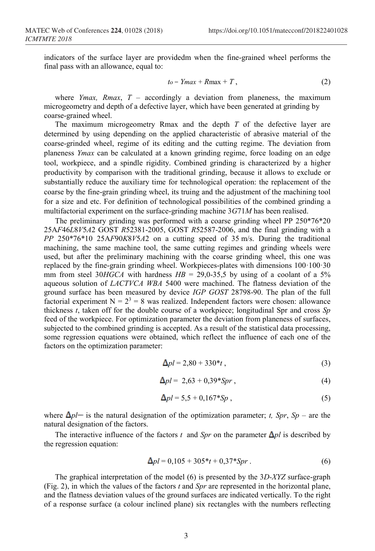indicators of the surface layer are providedm when the fine-grained wheel performs the final pass with an allowance, equal to:

$$
to = Ymax + Rmax + T, \qquad (2)
$$

where *Ymax, Rmax*, *T* – accordingly a deviation from planeness, the maximum microgeometry and depth of a defective layer, which have been generated at grinding by coarse-grained wheel.

The maximum microgeometry Rmax and the depth *T* of the defective layer are determined by using depending on the applied characteristic of abrasive material of the coarse-grinded wheel, regime of its editing and the cutting regime. The deviation from planeness *Ymax* can be calculated at a known grinding regime, force loading on an edge tool, workpiece, and a spindle rigidity. Combined grinding is characterized by a higher productivity by comparison with the traditional grinding, because it allows to exclude or substantially reduce the auxiliary time for technological operation: the replacement of the coarse by the fine-grain grinding wheel, its truing and the adjustment of the machining tool for a size and etc. For definition of technological possibilities of the combined grinding a multifactorial experiment on the surface-grinding machine 3*G*71*M* has been realised.

The preliminary grinding was performed with a coarse grinding wheel PP 250\*76\*20 25А*F*46*L*8*V*5*А*2 GOST *R*52381-2005, GOST *R*52587-2006, and the final grinding with a *PP* 250\*76\*10 25А*F*90*K*8*V*5*А*2 on a cutting speed of 35 m/s. During the traditional machining, the same machine tool, the same cutting regimes and grinding wheels were used, but after the preliminary machining with the coarse grinding wheel, this one was replaced by the fine-grain grinding wheel. Workpieces-plates with dimensions 100·100·30 mm from steel 30*HGCA* with hardness  $HB = 29,0.35,5$  by using of a coolant of a 5% aqueous solution of *LACTVCA WBA* 5400 were machined. The flatness deviation of the ground surface has been measured by device *IGP GOST* 28798-90. The plan of the full factorial experiment  $N = 2<sup>3</sup> = 8$  was realized. Independent factors were chosen: allowance thickness *t*, taken off for the double course of a workpiece; longitudinal Spr and cross *Sp* feed of the workpiece. For optimization parameter the deviation from planeness of surfaces, subjected to the combined grinding is accepted. As a result of the statistical data processing, some regression equations were obtained, which reflect the influence of each one of the factors on the optimization parameter:

$$
\Delta pl = 2{,}80 + 330^*t \,, \tag{3}
$$

$$
\Delta pl = 2{,}63 + 0{,}39*Spr, \qquad (4)
$$

$$
\Delta pl = 5.5 + 0.167 * Sp \tag{5}
$$

where  $\Delta p l$  is the natural designation of the optimization parameter; *t*, *Spr*, *Sp* – are the natural designation of the factors.

The interactive influence of the factors *t* and *Spr* on the parameter  $\Delta pl$  is described by the regression equation:

$$
\Delta pl = 0,105 + 305 \cdot t + 0,37 \cdot Spr. \tag{6}
$$

The graphical interpretation of the model (6) is presented by the 3*D-XYZ* surface-graph (Fig. 2), in which the values of the factors *t* and *Spr* are represented in the horizontal plane, and the flatness deviation values of the ground surfaces are indicated vertically. To the right of a response surface (a colour inclined plane) six rectangles with the numbers reflecting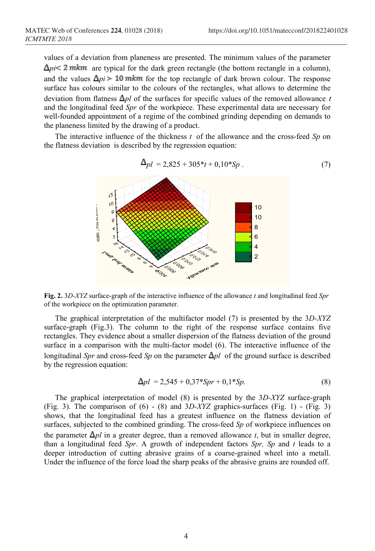values of a deviation from planeness are presented. The minimum values of the parameter  $\Delta pi < 2$  mkm are typical for the dark green rectangle (the bottom rectangle in a column), and the values  $\Delta pi$  > 10 mkm for the top rectangle of dark brown colour. The response surface has colours similar to the colours of the rectangles, what allows to determine the deviation from flatness  $\Delta pl$  of the surfaces for specific values of the removed allowance t and the longitudinal feed *Spr* of the workpiece. These experimental data are necessary for well-founded appointment of a regime of the combined grinding depending on demands to the planeness limited by the drawing of a product.

The interactive influence of the thickness *t* of the allowance and the cross-feed *Sp* on the flatness deviation is described by the regression equation:



**Fig. 2.** 3*D-XYZ* surface-graph of the interactive influence of the allowance *t* and longitudinal feed *Spr* of the workpiece on the optimization parameter.

The graphical interpretation of the multifactor model (7) is presented by the 3*D-XYZ* surface-graph (Fig.3). The column to the right of the response surface contains five rectangles. They evidence about a smaller dispersion of the flatness deviation of the ground surface in a comparison with the multi-factor model (6). The interactive influence of the longitudinal *Spr* and cross-feed *Sp* on the parameter  $\Delta pl$  of the ground surface is described by the regression equation:

$$
\Delta pl = 2{,}545 + 0{,}37*Spr + 0{,}1*Sp. \tag{8}
$$

The graphical interpretation of model (8) is presented by the 3*D-XYZ* surface-graph (Fig. 3). The comparison of (6) - (8) and 3*D-XYZ* graphics-surfaces (Fig. 1) - (Fig. 3) shows, that the longitudinal feed has a greatest influence on the flatness deviation of surfaces, subjected to the combined grinding. The cross-feed *Sp* of workpiece influences on the parameter  $\Delta pl$  in a greater degree, than a removed allowance *t*, but in smaller degree, than a longitudinal feed *Spr*. A growth of independent factors *Spr, Sp* and *t* leads to a deeper introduction of cutting abrasive grains of a coarse-grained wheel into a metall. Under the influence of the force load the sharp peaks of the abrasive grains are rounded off.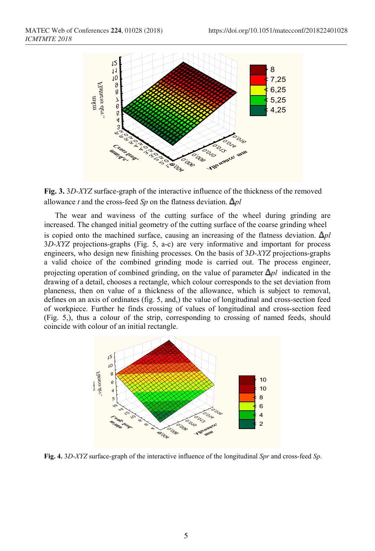



The wear and waviness of the cutting surface of the wheel during grinding are increased. The changed initial geometry of the cutting surface of the coarse grinding wheel is copied onto the machined surface, causing an increasing of the flatness deviation.  $\Delta pl$ 3*D-XYZ* projections-graphs (Fig. 5, a-c) are very informative and important for process engineers, who design new finishing processes. On the basis of 3*D-XYZ* projections-graphs a valid choice of the combined grinding mode is carried out. The process engineer, projecting operation of combined grinding, on the value of parameter  $\Delta pl$  indicated in the drawing of a detail, chooses a rectangle, which colour corresponds to the set deviation from planeness, then on value of a thickness of the allowance, which is subject to removal, defines on an axis of ordinates (fig. 5, and,) the value of longitudinal and cross-section feed of workpiece. Further he finds crossing of values of longitudinal and cross-section feed (Fig. 5,), thus a colour of the strip, corresponding to crossing of named feeds, should coincide with colour of an initial rectangle.



**Fig. 4.** 3*D-XYZ* surface-graph of the interactive influence of the longitudinal *Spr* and cross-feed *Sp*.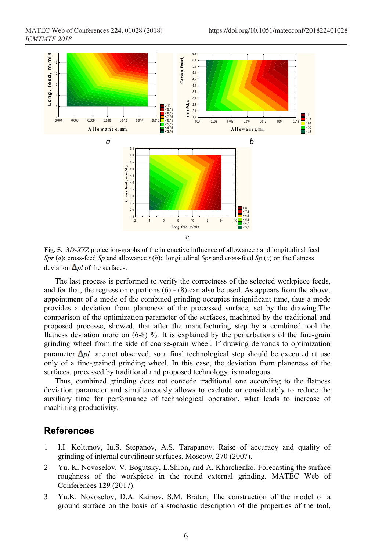

**Fig. 5.** 3*D-XYZ* projection-graphs of the interactive influence of allowance *t* and longitudinal feed *Spr* (*a*); cross-feed *Sp* and allowance *t* (*b*); longitudinal *Spr* and cross-feed *Sp* (*c*) on the flatness deviation  $\Delta pl$  of the surfaces.

The last process is performed to verify the correctness of the selected workpiece feeds, and for that, the regression equations  $(6)$  -  $(8)$  can also be used. As appears from the above, appointment of a mode of the combined grinding occupies insignificant time, thus a mode provides a deviation from planeness of the processed surface, set by the drawing.The comparison of the optimization parameter of the surfaces, machined by the traditional and proposed processe, showed, that after the manufacturing step by a combined tool the flatness deviation more on (6-8) %. It is explained by the perturbations of the fine-grain grinding wheel from the side of coarse-grain wheel. If drawing demands to optimization parameter  $\Delta p l$  are not observed, so a final technological step should be executed at use only of a fine-grained grinding wheel. In this case, the deviation from planeness of the surfaces, processed by traditional and proposed technology, is analogous.

Thus, combined grinding does not concede traditional one according to the flatness deviation parameter and simultaneously allows to exclude or considerably to reduce the auxiliary time for performance of technological operation, what leads to increase of machining productivity.

## **References**

- 1 I.I. Koltunov, Iu.S. Stepanov, A.S. Tarapanov. Raise of accuracy and quality of grinding of internal curvilinear surfaces. Moscow, 270 (2007).
- 2 Yu. K. Novoselov, V. Bogutsky, L.Shron, and A. Kharchenko. Forecasting the surface roughness of the workpiece in the round external grinding. MATEC Web of Conferences **129** (2017).
- 3 Yu.K. Novoselov, D.A. Kainov, S.M. Bratan, The construction of the model of a ground surface on the basis of a stochastic description of the properties of the tool,